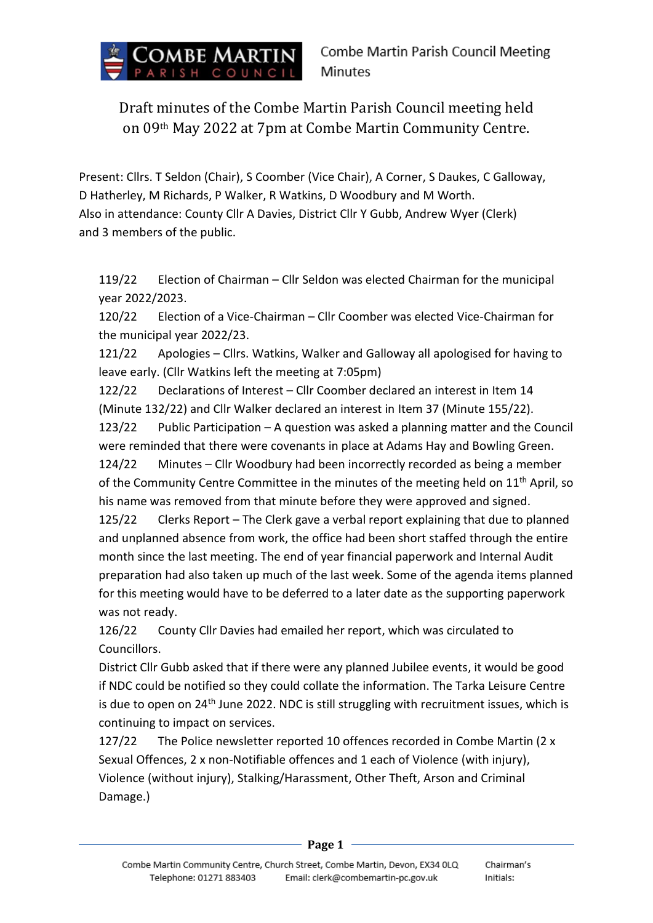

Draft minutes of the Combe Martin Parish Council meeting held on 09th May 2022 at 7pm at Combe Martin Community Centre.

Present: Cllrs. T Seldon (Chair), S Coomber (Vice Chair), A Corner, S Daukes, C Galloway, D Hatherley, M Richards, P Walker, R Watkins, D Woodbury and M Worth. Also in attendance: County Cllr A Davies, District Cllr Y Gubb, Andrew Wyer (Clerk) and 3 members of the public.

119/22 Election of Chairman – Cllr Seldon was elected Chairman for the municipal year 2022/2023.

120/22 Election of a Vice-Chairman – Cllr Coomber was elected Vice-Chairman for the municipal year 2022/23.

121/22 Apologies – Cllrs. Watkins, Walker and Galloway all apologised for having to leave early. (Cllr Watkins left the meeting at 7:05pm)

122/22 Declarations of Interest – Cllr Coomber declared an interest in Item 14 (Minute 132/22) and Cllr Walker declared an interest in Item 37 (Minute 155/22).

123/22 Public Participation – A question was asked a planning matter and the Council were reminded that there were covenants in place at Adams Hay and Bowling Green.

124/22 Minutes – Cllr Woodbury had been incorrectly recorded as being a member of the Community Centre Committee in the minutes of the meeting held on 11<sup>th</sup> April, so his name was removed from that minute before they were approved and signed.

125/22 Clerks Report – The Clerk gave a verbal report explaining that due to planned and unplanned absence from work, the office had been short staffed through the entire month since the last meeting. The end of year financial paperwork and Internal Audit preparation had also taken up much of the last week. Some of the agenda items planned for this meeting would have to be deferred to a later date as the supporting paperwork was not ready.

126/22 County Cllr Davies had emailed her report, which was circulated to Councillors.

District Cllr Gubb asked that if there were any planned Jubilee events, it would be good if NDC could be notified so they could collate the information. The Tarka Leisure Centre is due to open on 24<sup>th</sup> June 2022. NDC is still struggling with recruitment issues, which is continuing to impact on services.

127/22 The Police newsletter reported 10 offences recorded in Combe Martin (2 x Sexual Offences, 2 x non-Notifiable offences and 1 each of Violence (with injury), Violence (without injury), Stalking/Harassment, Other Theft, Arson and Criminal Damage.)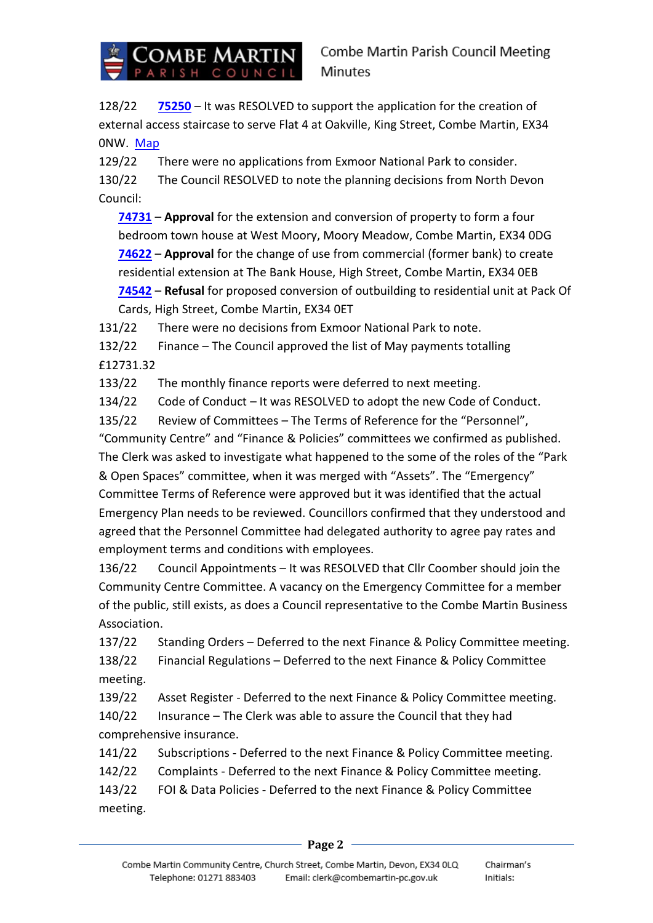

128/22 **[75250](https://planning.northdevon.gov.uk/Planning/Display/75250)** – It was RESOLVED to support the application for the creation of external access staircase to serve Flat 4 at Oakville, King Street, Combe Martin, EX34 0NW. [Map](https://combemartinpc.sharepoint.com/:b:/s/CouncilDocuments/EZzfh0qmjJhMupN83ib5rGoBwiPZ8qqaBikmTOlmEwzpFw?e=RHbUGz)

129/22 There were no applications from Exmoor National Park to consider. 130/22 The Council RESOLVED to note the planning decisions from North Devon Council:

**[74731](https://planning.northdevon.gov.uk/Planning/Display/74731)** – **Approval** for the extension and conversion of property to form a four bedroom town house at West Moory, Moory Meadow, Combe Martin, EX34 0DG **[74622](https://planning.northdevon.gov.uk/Planning/Display/74622)** – **Approval** for the change of use from commercial (former bank) to create residential extension at The Bank House, High Street, Combe Martin, EX34 0EB **[74542](https://planning.northdevon.gov.uk/Planning/Display/74542)** – **Refusal** for proposed conversion of outbuilding to residential unit at Pack Of Cards, High Street, Combe Martin, EX34 0ET

131/22 There were no decisions from Exmoor National Park to note.

132/22 Finance – The Council approved the list of May payments totalling £12731.32

133/22 The monthly finance reports were deferred to next meeting.

134/22 Code of Conduct – It was RESOLVED to adopt the new Code of Conduct.

135/22 Review of Committees – The Terms of Reference for the "Personnel", "Community Centre" and "Finance & Policies" committees we confirmed as published. The Clerk was asked to investigate what happened to the some of the roles of the "Park & Open Spaces" committee, when it was merged with "Assets". The "Emergency"

Committee Terms of Reference were approved but it was identified that the actual Emergency Plan needs to be reviewed. Councillors confirmed that they understood and agreed that the Personnel Committee had delegated authority to agree pay rates and employment terms and conditions with employees.

136/22 Council Appointments – It was RESOLVED that Cllr Coomber should join the Community Centre Committee. A vacancy on the Emergency Committee for a member of the public, still exists, as does a Council representative to the Combe Martin Business Association.

137/22 Standing Orders – Deferred to the next Finance & Policy Committee meeting. 138/22 Financial Regulations – Deferred to the next Finance & Policy Committee meeting.

139/22 Asset Register - Deferred to the next Finance & Policy Committee meeting.

140/22 Insurance – The Clerk was able to assure the Council that they had comprehensive insurance.

141/22 Subscriptions - Deferred to the next Finance & Policy Committee meeting.

142/22 Complaints - Deferred to the next Finance & Policy Committee meeting.

143/22 FOI & Data Policies - Deferred to the next Finance & Policy Committee meeting.